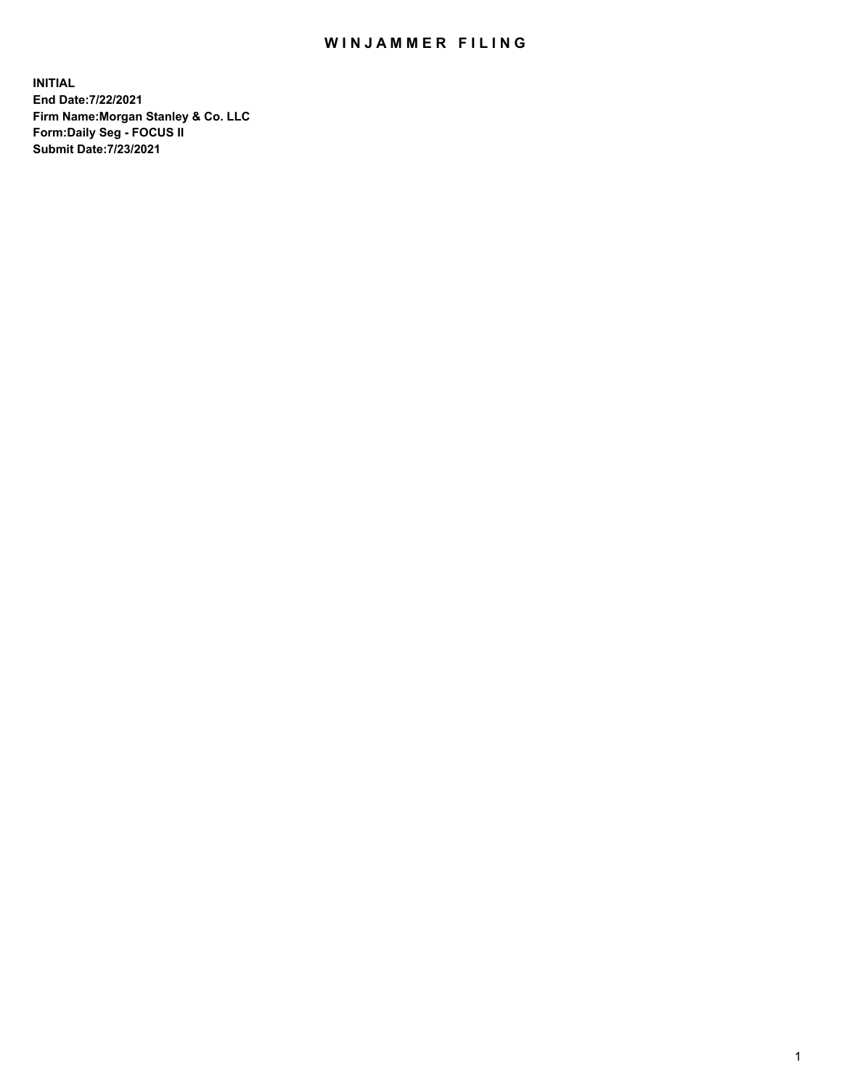## WIN JAMMER FILING

**INITIAL End Date:7/22/2021 Firm Name:Morgan Stanley & Co. LLC Form:Daily Seg - FOCUS II Submit Date:7/23/2021**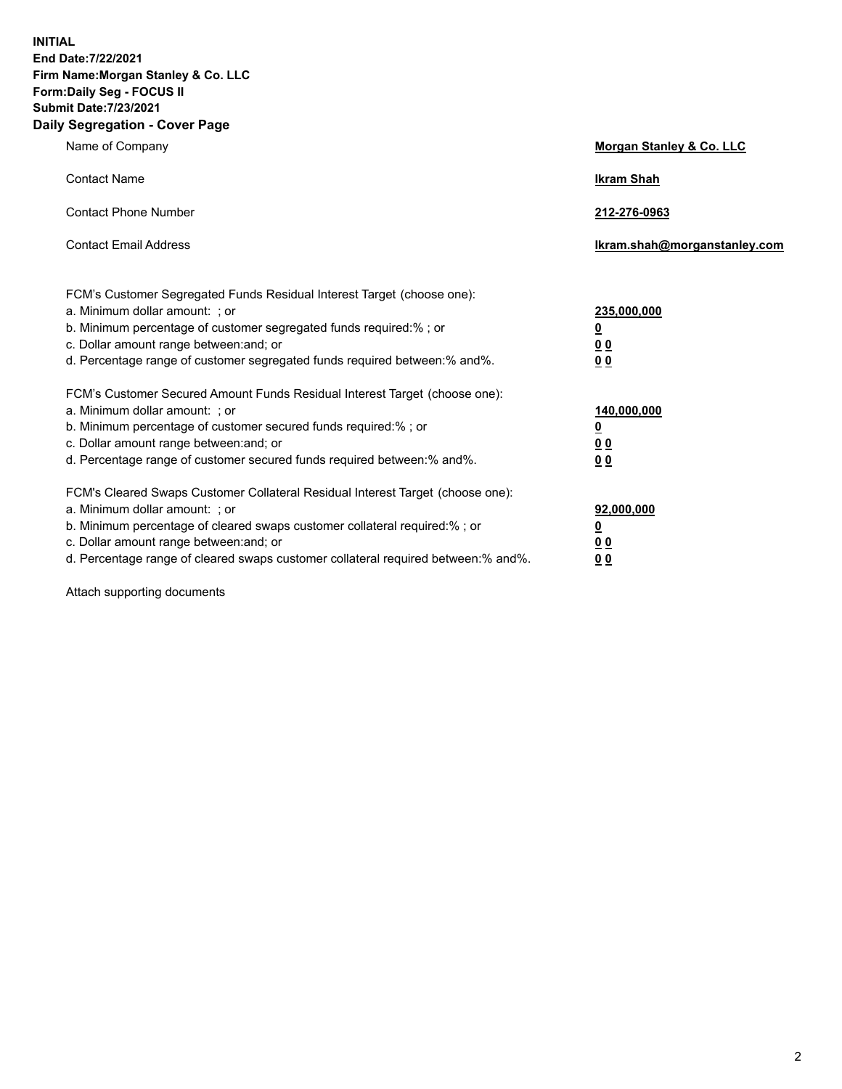**INITIAL End Date:7/22/2021 Firm Name:Morgan Stanley & Co. LLC Form:Daily Seg - FOCUS II Submit Date:7/23/2021 Daily Segregation - Cover Page**

| Name of Company                                                                                                                                                                                                                                                                                                                | Morgan Stanley & Co. LLC                                    |
|--------------------------------------------------------------------------------------------------------------------------------------------------------------------------------------------------------------------------------------------------------------------------------------------------------------------------------|-------------------------------------------------------------|
| <b>Contact Name</b>                                                                                                                                                                                                                                                                                                            | <b>Ikram Shah</b>                                           |
| <b>Contact Phone Number</b>                                                                                                                                                                                                                                                                                                    | 212-276-0963                                                |
| <b>Contact Email Address</b>                                                                                                                                                                                                                                                                                                   | lkram.shah@morganstanley.com                                |
| FCM's Customer Segregated Funds Residual Interest Target (choose one):<br>a. Minimum dollar amount: ; or<br>b. Minimum percentage of customer segregated funds required:% ; or<br>c. Dollar amount range between: and; or<br>d. Percentage range of customer segregated funds required between:% and%.                         | 235,000,000<br><u>0</u><br>0 <sup>0</sup><br>00             |
| FCM's Customer Secured Amount Funds Residual Interest Target (choose one):<br>a. Minimum dollar amount: : or<br>b. Minimum percentage of customer secured funds required:%; or<br>c. Dollar amount range between: and; or<br>d. Percentage range of customer secured funds required between: % and %.                          | 140,000,000<br><u>0</u><br>0 <sub>0</sub><br>0 <sub>0</sub> |
| FCM's Cleared Swaps Customer Collateral Residual Interest Target (choose one):<br>a. Minimum dollar amount: ; or<br>b. Minimum percentage of cleared swaps customer collateral required:% ; or<br>c. Dollar amount range between: and; or<br>d. Percentage range of cleared swaps customer collateral required between:% and%. | 92,000,000<br><u>0</u><br><u>00</u><br>00                   |

Attach supporting documents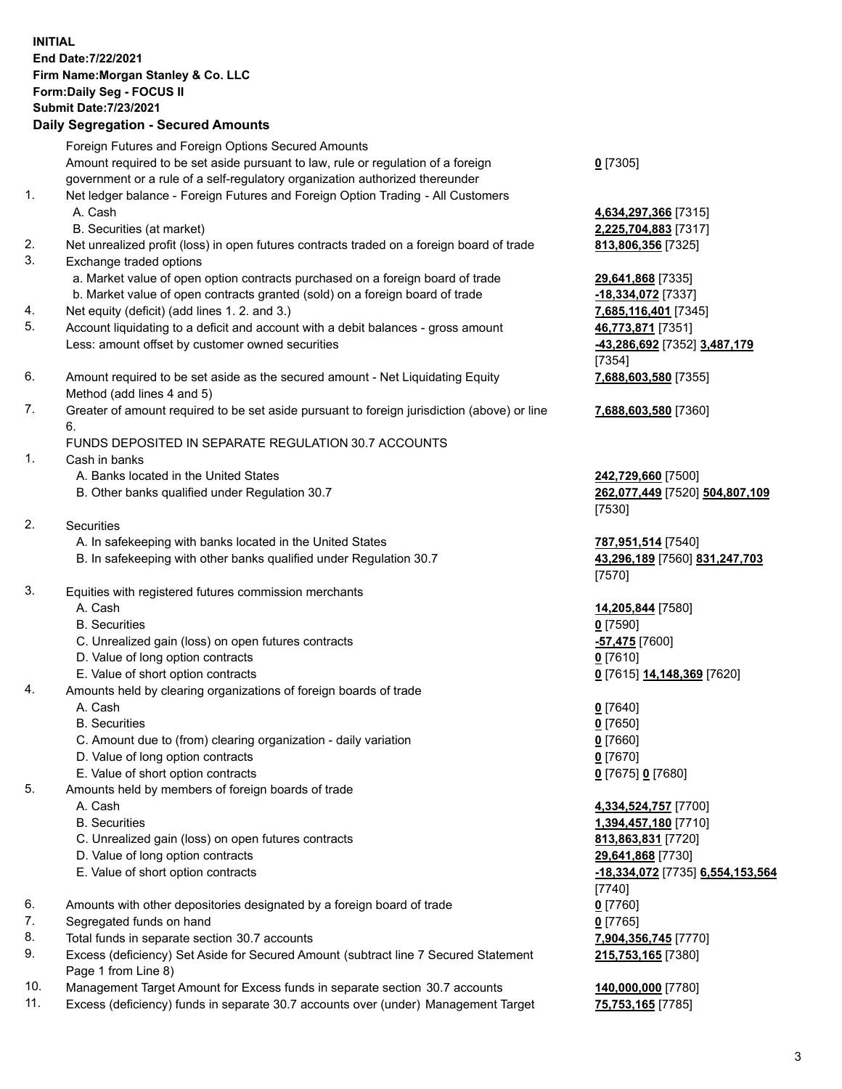## **INITIAL End Date:7/22/2021 Firm Name:Morgan Stanley & Co. LLC Form:Daily Seg - FOCUS II Submit Date:7/23/2021**

## **Daily Segregation - Secured Amounts**

Foreign Futures and Foreign Options Secured Amounts Amount required to be set aside pursuant to law, rule or regulation of a foreign government or a rule of a self-regulatory organization authorized thereunder 1. Net ledger balance - Foreign Futures and Foreign Option Trading - All Customers A. Cash **4,634,297,366** [7315] B. Securities (at market) **2,225,704,883** [7317] 2. Net unrealized profit (loss) in open futures contracts traded on a foreign board of trade **813,806,356** [7325] 3. Exchange traded options a. Market value of open option contracts purchased on a foreign board of trade **29,641,868** [7335] b. Market value of open contracts granted (sold) on a foreign board of trade **-18,334,072** [7337] 4. Net equity (deficit) (add lines 1. 2. and 3.) **7,685,116,401** [7345] 5. Account liquidating to a deficit and account with a debit balances - gross amount **46,773,871** [7351] Less: amount offset by customer owned securities **-43,286,692** [7352] **3,487,179** 6. Amount required to be set aside as the secured amount - Net Liquidating Equity Method (add lines 4 and 5) 7. Greater of amount required to be set aside pursuant to foreign jurisdiction (above) or line 6. FUNDS DEPOSITED IN SEPARATE REGULATION 30.7 ACCOUNTS 1. Cash in banks A. Banks located in the United States **242,729,660** [7500] B. Other banks qualified under Regulation 30.7 **262,077,449** [7520] **504,807,109** 2. Securities A. In safekeeping with banks located in the United States **787,951,514** [7540] B. In safekeeping with other banks qualified under Regulation 30.7 **43,296,189** [7560] **831,247,703** 3. Equities with registered futures commission merchants A. Cash **14,205,844** [7580] B. Securities **0** [7590] C. Unrealized gain (loss) on open futures contracts **-57,475** [7600] D. Value of long option contracts **0** [7610] E. Value of short option contracts **0** [7615] **14,148,369** [7620] 4. Amounts held by clearing organizations of foreign boards of trade A. Cash **0** [7640] B. Securities **0** [7650] C. Amount due to (from) clearing organization - daily variation **0** [7660] D. Value of long option contracts **0** [7670] E. Value of short option contracts **0** [7675] **0** [7680] 5. Amounts held by members of foreign boards of trade A. Cash **4,334,524,757** [7700] B. Securities **1,394,457,180** [7710] C. Unrealized gain (loss) on open futures contracts **813,863,831** [7720] D. Value of long option contracts **29,641,868** [7730]

- 
- 6. Amounts with other depositories designated by a foreign board of trade **0** [7760]
- 7. Segregated funds on hand **0** [7765]
- 8. Total funds in separate section 30.7 accounts **7,904,356,745** [7770]
- 9. Excess (deficiency) Set Aside for Secured Amount (subtract line 7 Secured Statement Page 1 from Line 8)
- 10. Management Target Amount for Excess funds in separate section 30.7 accounts **140,000,000** [7780]
- 11. Excess (deficiency) funds in separate 30.7 accounts over (under) Management Target **75,753,165** [7785]

**0** [7305]

[7354] **7,688,603,580** [7355]

**7,688,603,580** [7360]

[7530]

[7570]

 E. Value of short option contracts **-18,334,072** [7735] **6,554,153,564** [7740] **215,753,165** [7380]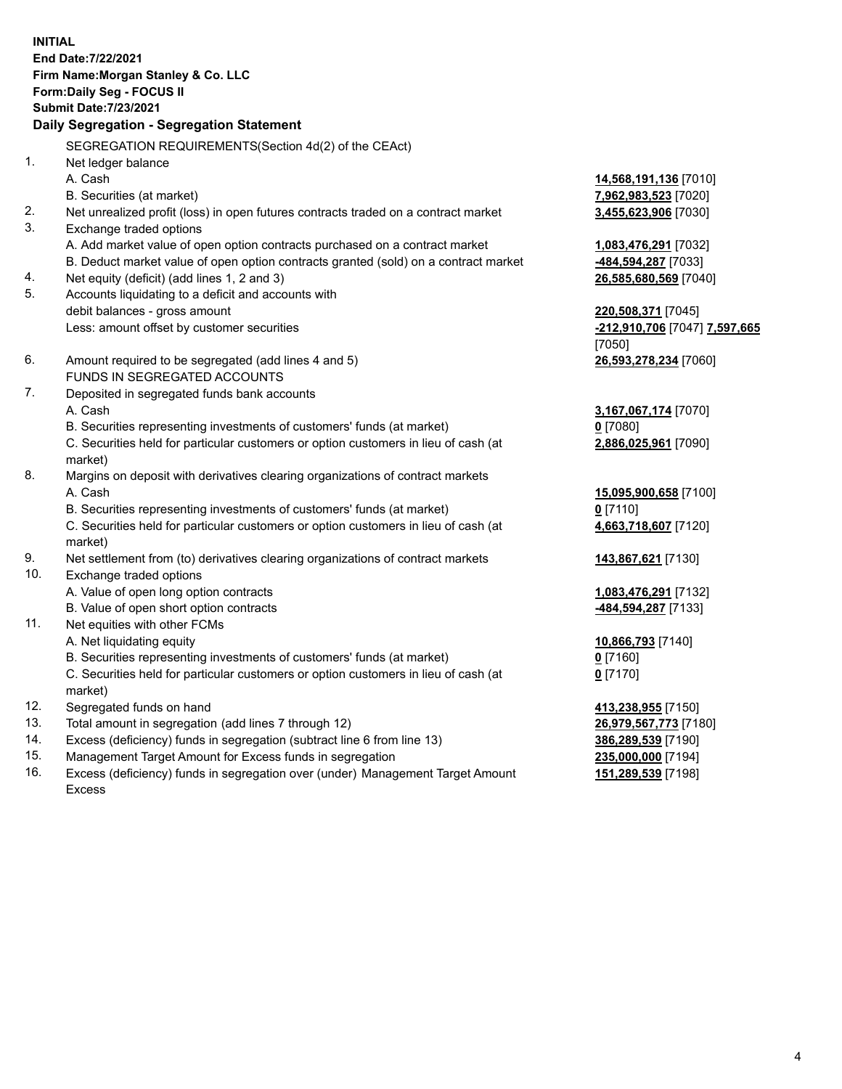**INITIAL End Date:7/22/2021 Firm Name:Morgan Stanley & Co. LLC Form:Daily Seg - FOCUS II Submit Date:7/23/2021 Daily Segregation - Segregation Statement** SEGREGATION REQUIREMENTS(Section 4d(2) of the CEAct) 1. Net ledger balance A. Cash **14,568,191,136** [7010] B. Securities (at market) **7,962,983,523** [7020] 2. Net unrealized profit (loss) in open futures contracts traded on a contract market **3,455,623,906** [7030] 3. Exchange traded options A. Add market value of open option contracts purchased on a contract market **1,083,476,291** [7032] B. Deduct market value of open option contracts granted (sold) on a contract market **-484,594,287** [7033] 4. Net equity (deficit) (add lines 1, 2 and 3) **26,585,680,569** [7040] 5. Accounts liquidating to a deficit and accounts with debit balances - gross amount **220,508,371** [7045] Less: amount offset by customer securities **-212,910,706** [7047] **7,597,665** [7050] 6. Amount required to be segregated (add lines 4 and 5) **26,593,278,234** [7060] FUNDS IN SEGREGATED ACCOUNTS 7. Deposited in segregated funds bank accounts A. Cash **3,167,067,174** [7070] B. Securities representing investments of customers' funds (at market) **0** [7080] C. Securities held for particular customers or option customers in lieu of cash (at market) **2,886,025,961** [7090] 8. Margins on deposit with derivatives clearing organizations of contract markets A. Cash **15,095,900,658** [7100] B. Securities representing investments of customers' funds (at market) **0** [7110] C. Securities held for particular customers or option customers in lieu of cash (at market) **4,663,718,607** [7120] 9. Net settlement from (to) derivatives clearing organizations of contract markets **143,867,621** [7130] 10. Exchange traded options A. Value of open long option contracts **1,083,476,291** [7132] B. Value of open short option contracts **-484,594,287** [7133] 11. Net equities with other FCMs A. Net liquidating equity **10,866,793** [7140] B. Securities representing investments of customers' funds (at market) **0** [7160] C. Securities held for particular customers or option customers in lieu of cash (at market) **0** [7170] 12. Segregated funds on hand **413,238,955** [7150] 13. Total amount in segregation (add lines 7 through 12) **26,979,567,773** [7180] 14. Excess (deficiency) funds in segregation (subtract line 6 from line 13) **386,289,539** [7190]

- 15. Management Target Amount for Excess funds in segregation **235,000,000** [7194]
- 16. Excess (deficiency) funds in segregation over (under) Management Target Amount Excess

**151,289,539** [7198]